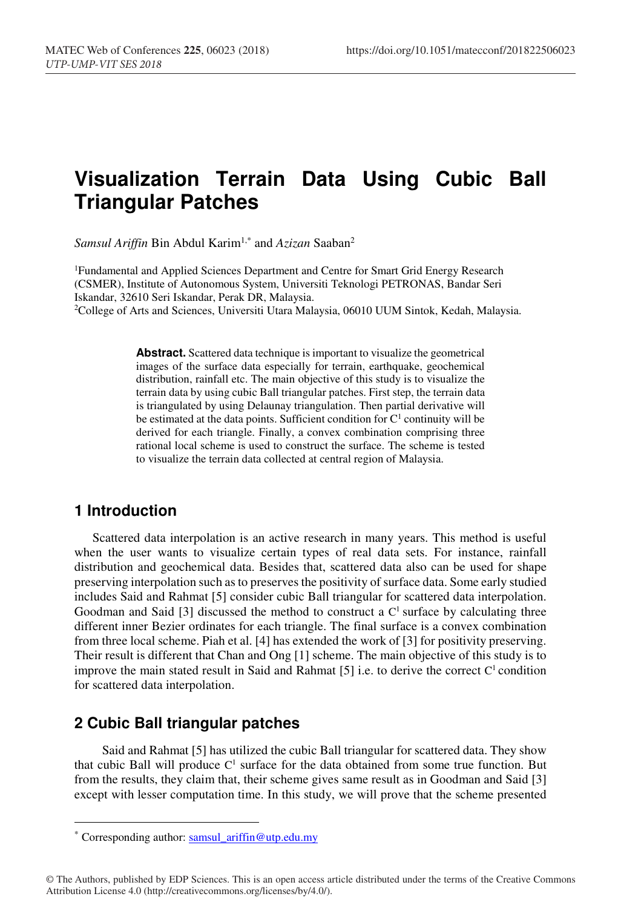# **Visualization Terrain Data Using Cubic Ball Triangular Patches**

*Samsul Ariffin* Bin Abdul Karim1,\* and *Azizan* Saaban2

1Fundamental and Applied Sciences Department and Centre for Smart Grid Energy Research (CSMER), Institute of Autonomous System, Universiti Teknologi PETRONAS, Bandar Seri Iskandar, 32610 Seri Iskandar, Perak DR, Malaysia.

2College of Arts and Sciences, Universiti Utara Malaysia, 06010 UUM Sintok, Kedah, Malaysia.

**Abstract.** Scattered data technique is important to visualize the geometrical images of the surface data especially for terrain, earthquake, geochemical distribution, rainfall etc. The main objective of this study is to visualize the terrain data by using cubic Ball triangular patches. First step, the terrain data is triangulated by using Delaunay triangulation. Then partial derivative will be estimated at the data points. Sufficient condition for  $C<sup>1</sup>$  continuity will be derived for each triangle. Finally, a convex combination comprising three rational local scheme is used to construct the surface. The scheme is tested to visualize the terrain data collected at central region of Malaysia.

## **1 Introduction**

-

Scattered data interpolation is an active research in many years. This method is useful when the user wants to visualize certain types of real data sets. For instance, rainfall distribution and geochemical data. Besides that, scattered data also can be used for shape preserving interpolation such as to preserves the positivity of surface data. Some early studied includes Said and Rahmat [5] consider cubic Ball triangular for scattered data interpolation. Goodman and Said  $[3]$  discussed the method to construct a  $C<sup>1</sup>$  surface by calculating three different inner Bezier ordinates for each triangle. The final surface is a convex combination from three local scheme. Piah et al. [4] has extended the work of [3] for positivity preserving. Their result is different that Chan and Ong [1] scheme. The main objective of this study is to improve the main stated result in Said and Rahmat [5] i.e. to derive the correct  $C<sup>1</sup>$  condition for scattered data interpolation.

### **2 Cubic Ball triangular patches**

 Said and Rahmat [5] has utilized the cubic Ball triangular for scattered data. They show that cubic Ball will produce  $C<sup>1</sup>$  surface for the data obtained from some true function. But from the results, they claim that, their scheme gives same result as in Goodman and Said [3] except with lesser computation time. In this study, we will prove that the scheme presented

© The Authors, published by EDP Sciences. This is an open access article distributed under the terms of the Creative Commons Attribution License 4.0 (http://creativecommons.org/licenses/by/4.0/).

<sup>\*</sup> Corresponding author: samsul\_ariffin@utp.edu.my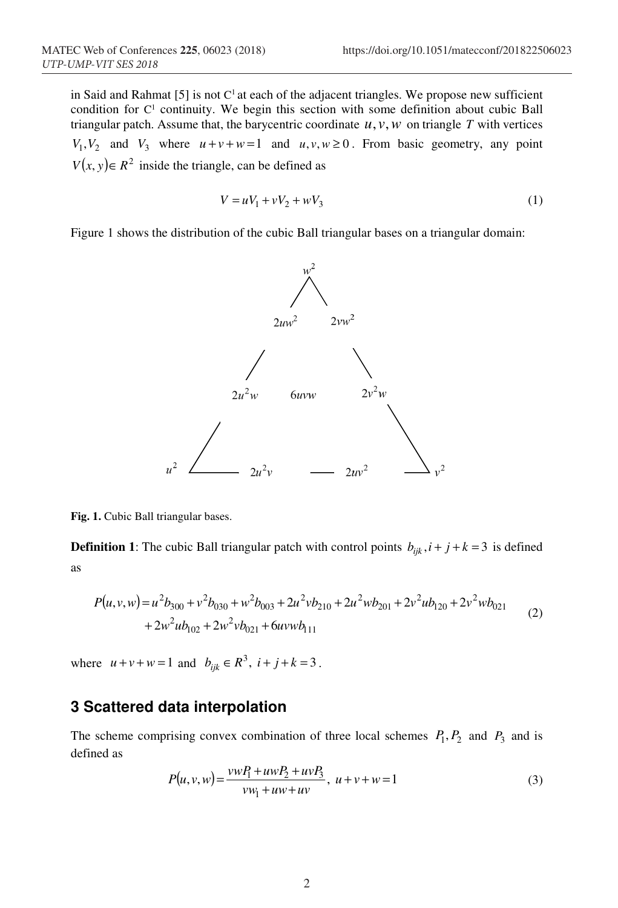in Said and Rahmat [5] is not  $C<sup>1</sup>$  at each of the adjacent triangles. We propose new sufficient condition for C<sup>1</sup> continuity. We begin this section with some definition about cubic Ball triangular patch. Assume that, the barycentric coordinate  $u, v, w$  on triangle  $T$  with vertices  $V_1, V_2$  and  $V_3$  where  $u + v + w = 1$  and  $u, v, w \ge 0$ . From basic geometry, any point  $V(x, y) \in R^2$  inside the triangle, can be defined as

$$
V = uV_1 + vV_2 + wV_3
$$
 (1)

Figure 1 shows the distribution of the cubic Ball triangular bases on a triangular domain:



**Fig. 1.** Cubic Ball triangular bases.

**Definition 1**: The cubic Ball triangular patch with control points  $b_{ijk}$ ,  $i + j + k = 3$  is defined as

$$
P(u, v, w) = u2b300 + v2b030 + w2b003 + 2u2vb210 + 2u2wb201 + 2v2ub120 + 2v2wb021
$$
  
+ 2w<sup>2</sup>ub<sub>102</sub> + 2w<sup>2</sup>vb<sub>021</sub> + 6uvwb<sub>111</sub> (2)

where  $u + v + w = 1$  and  $b_{ijk} \in R^3$ ,  $i + j + k = 3$ .

# **3 Scattered data interpolation**

The scheme comprising convex combination of three local schemes  $P_1, P_2$  and  $P_3$  and is defined as

$$
P(u, v, w) = \frac{vw_1 + uw_2 + uv_3}{vw_1 + uw + uv}, \ u + v + w = 1
$$
 (3)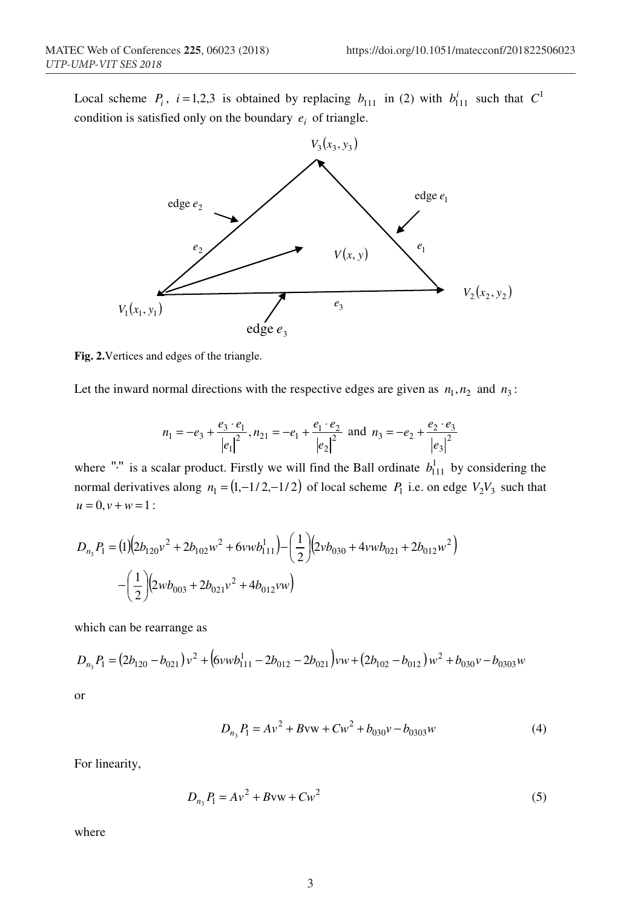Local scheme  $P_i$ ,  $i = 1,2,3$  is obtained by replacing  $b_{111}$  in (2) with  $b_{111}^i$  such that  $C^1$ condition is satisfied only on the boundary  $e_i$  of triangle.



**Fig. 2.**Vertices and edges of the triangle.

Let the inward normal directions with the respective edges are given as  $n_1$ ,  $n_2$  and  $n_3$ :

$$
n_1 = -e_3 + \frac{e_3 \cdot e_1}{|e_1|^2}, n_{21} = -e_1 + \frac{e_1 \cdot e_2}{|e_2|^2} \text{ and } n_3 = -e_2 + \frac{e_2 \cdot e_3}{|e_3|^2}
$$

where "<sup>*.*"</sup> is a scalar product. Firstly we will find the Ball ordinate  $b_{111}^1$  by considering the normal derivatives along  $n_1 = (1,-1/2,-1/2)$  of local scheme  $P_1$  i.e. on edge  $V_2V_3$  such that  $u = 0, v + w = 1$ :

$$
D_{n_3}P_1 = (1)(2b_{120}v^2 + 2b_{102}w^2 + 6vwb_{111}^1) - (\frac{1}{2})(2vb_{030} + 4vwb_{021} + 2b_{012}w^2)
$$

$$
- (\frac{1}{2})(2wb_{003} + 2b_{021}v^2 + 4b_{012}vw)
$$

which can be rearrange as

$$
D_{n_3}P_1 = (2b_{120} - b_{021})v^2 + (6vwb_{111}^1 - 2b_{012} - 2b_{021})vw + (2b_{102} - b_{012})w^2 + b_{030}v - b_{0303}w
$$

or

$$
D_{n_3}P_1 = Av^2 + Bvw + Cw^2 + b_{030}v - b_{0303}w
$$
\n(4)

For linearity,

$$
D_{n_3}P_1 = Av^2 + Bvw + Cw^2
$$
 (5)

where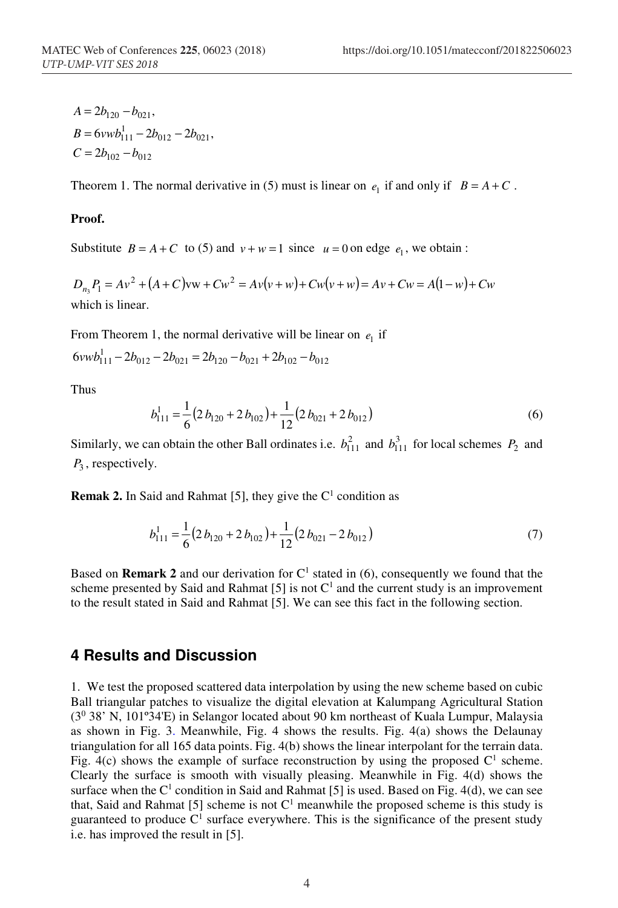$C = 2b_{102} - b_{012}$  $B = 6vwb_{111}^1 - 2b_{012} - 2b_{021}$  $A = 2b_{120} - b_{021}$ 

Theorem 1. The normal derivative in (5) must is linear on  $e_1$  if and only if  $B = A + C$ .

#### **Proof.**

Substitute  $B = A + C$  to (5) and  $v + w = 1$  since  $u = 0$  on edge  $e_1$ , we obtain:

 $D_{n_3}P_1 = Av^2 + (A+C)vw + Cw^2 = Av(v+w) + Cw(v+w) = Av + Cw = A(1-w) + Cw$ which is linear.

From Theorem 1, the normal derivative will be linear on  $e_1$  if

$$
6vwb_{111}^1 - 2b_{012} - 2b_{021} = 2b_{120} - b_{021} + 2b_{102} - b_{012}
$$

Thus

$$
b_{111}^1 = \frac{1}{6} (2 b_{120} + 2 b_{102}) + \frac{1}{12} (2 b_{021} + 2 b_{012})
$$
 (6)

Similarly, we can obtain the other Ball ordinates i.e.  $b_{111}^2$  and  $b_{111}^3$  for local schemes  $P_2$  and  $P_3$ , respectively.

**Remak 2.** In Said and Rahmat [5], they give the  $C<sup>1</sup>$  condition as

$$
b_{111}^1 = \frac{1}{6} (2 b_{120} + 2 b_{102}) + \frac{1}{12} (2 b_{021} - 2 b_{012})
$$
 (7)

Based on **Remark 2** and our derivation for  $C<sup>1</sup>$  stated in (6), consequently we found that the scheme presented by Said and Rahmat [5] is not  $C<sup>1</sup>$  and the current study is an improvement to the result stated in Said and Rahmat [5]. We can see this fact in the following section.

### **4 Results and Discussion**

1. We test the proposed scattered data interpolation by using the new scheme based on cubic Ball triangular patches to visualize the digital elevation at Kalumpang Agricultural Station (30 38' N, 101º34'E) in Selangor located about 90 km northeast of Kuala Lumpur, Malaysia as shown in Fig. 3. Meanwhile, Fig. 4 shows the results. Fig. 4(a) shows the Delaunay triangulation for all 165 data points. Fig. 4(b) shows the linear interpolant for the terrain data. Fig. 4(c) shows the example of surface reconstruction by using the proposed  $C<sup>1</sup>$  scheme. Clearly the surface is smooth with visually pleasing. Meanwhile in Fig. 4(d) shows the surface when the  $C^1$  condition in Said and Rahmat [5] is used. Based on Fig. 4(d), we can see that, Said and Rahmat [5] scheme is not  $C<sup>1</sup>$  meanwhile the proposed scheme is this study is guaranteed to produce  $C<sup>1</sup>$  surface everywhere. This is the significance of the present study i.e. has improved the result in [5].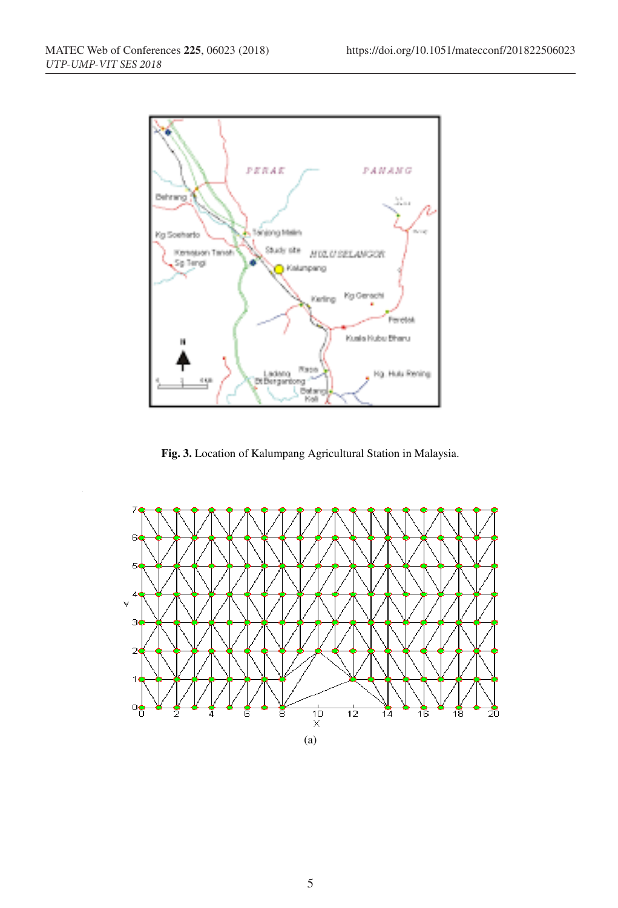

**Fig. 3.** Location of Kalumpang Agricultural Station in Malaysia.

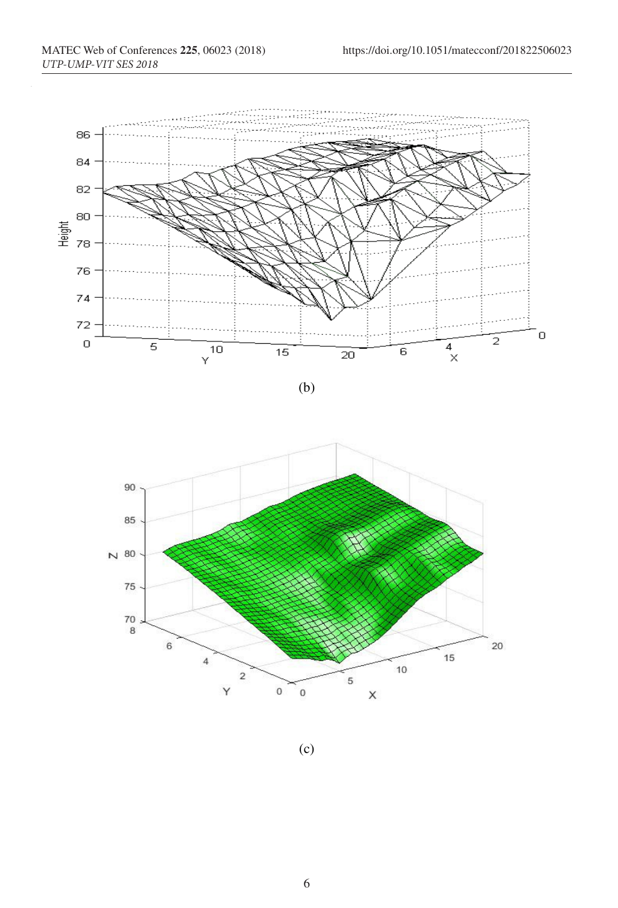

(b)



(c)